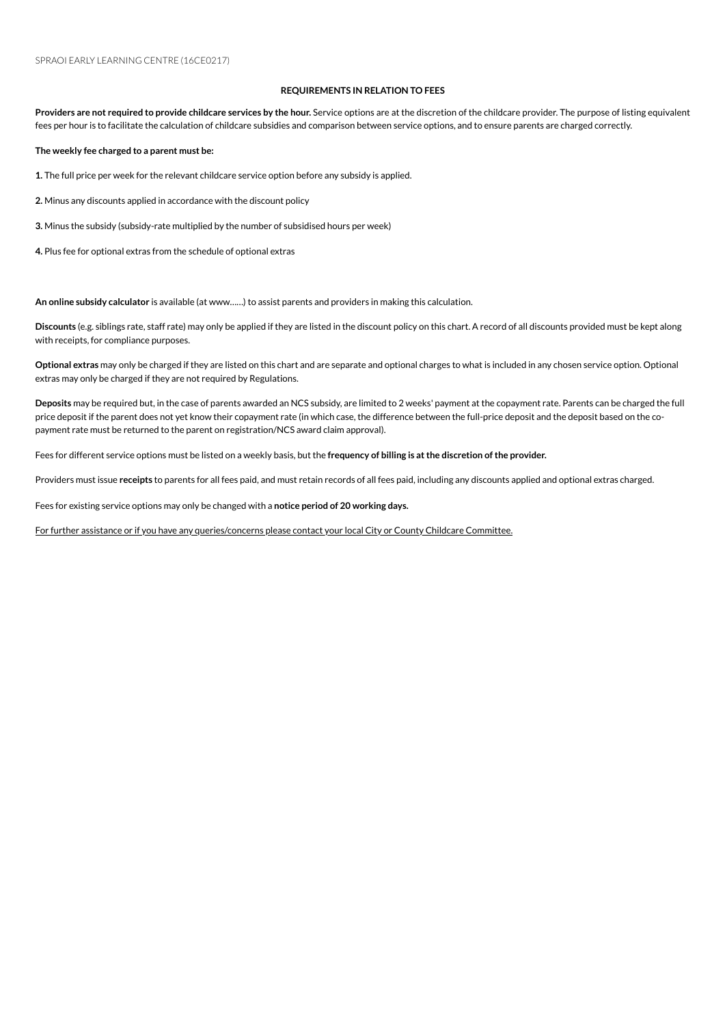## **REQUIREMENTS IN RELATION TO FEES**

Providers are not required to provide childcare services by the hour. Service options are at the discretion of the childcare provider. The purpose of listing equivalent fees per hour is to facilitate the calculation of childcare subsidies and comparison between service options, and to ensure parents are charged correctly.

**The weekly fee charged to a parent must be:**

1. The full price per week for the relevant childcare service option before any subsidy is applied.

2. Minus any discounts applied in accordance with the discount policy

**3.** Minus the subsidy (subsidy-rate multiplied by the number of subsidised hours per week)

4. Plus fee for optional extras from the schedule of optional extras

An online subsidy calculator is available (at www......) to assist parents and providers in making this calculation.

**Discounts** (e.g. siblings rate, staff rate) mayonly be applied if they are listed inthe discount policyonthis chart. A record of all discounts provided must be kept along with receipts, for compliance purposes.

**Optional extras** mayonly be charged if they are listed onthis chart and are separate and optional charges to what is included inany chosenserviceoption. Optional extras may only be charged if they are not required by Regulations.

Deposits may be required but, in the case of parents awarded an NCS subsidy, are limited to 2 weeks' payment at the copayment rate. Parents can be charged the full price deposit if the parent does not yet know their copayment rate (in which case, the difference between the full-price deposit and the deposit based on the copayment rate must be returned to the parent on registration/NCS award claim approval).

Fees for different serviceoptions must be listed ona weekly basis, but the **frequency of billing is atthe discretion ofthe provider.**

Providers must issue receipts to parents for all fees paid, and must retain records of all fees paid, including any discounts applied and optional extras charged.

Fees for existing service options may only be changed with a notice period of 20 working days.

For further assistance or if you have any queries/concerns please contact your local City or County Childcare Committee.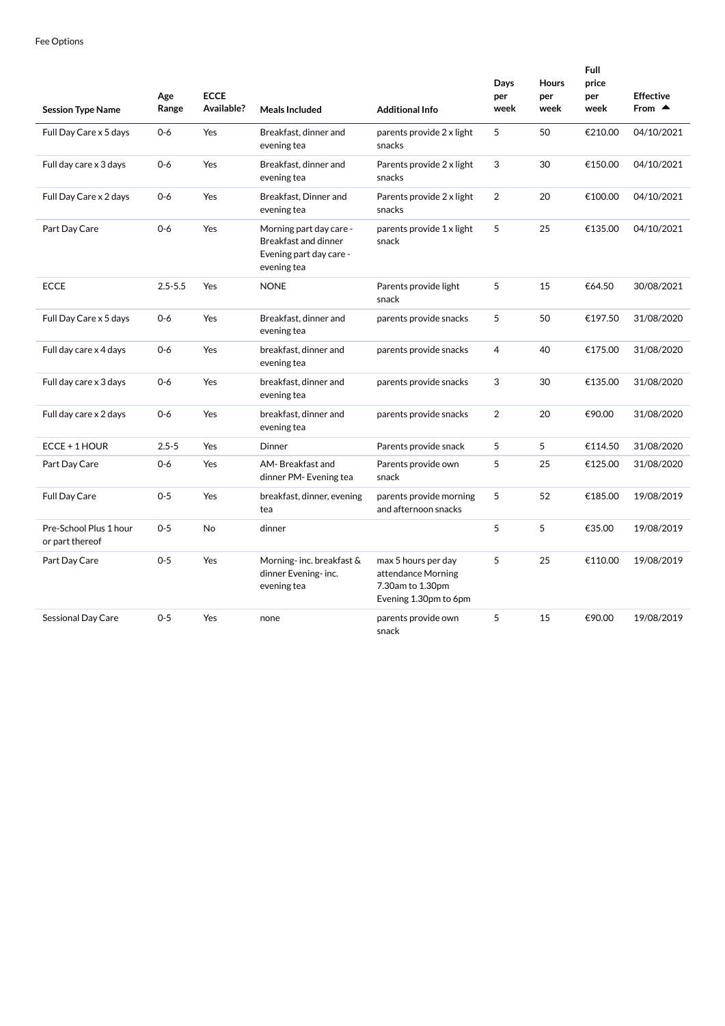| <b>Session Type Name</b>                  | Age<br>Range | <b>ECCE</b><br>Available? | <b>Meals Included</b>                                                                     | <b>Additional Info</b>                                                                 | Days<br>per<br>week | <b>Hours</b><br>per<br>week | <b>Full</b><br>price<br>per<br>week | <b>Effective</b><br>From $\triangle$ |
|-------------------------------------------|--------------|---------------------------|-------------------------------------------------------------------------------------------|----------------------------------------------------------------------------------------|---------------------|-----------------------------|-------------------------------------|--------------------------------------|
| Full Day Care x 5 days                    | $0 - 6$      | Yes                       | Breakfast, dinner and<br>evening tea                                                      | parents provide 2 x light<br>snacks                                                    | 5                   | 50                          | €210.00                             | 04/10/2021                           |
| Full day care x 3 days                    | $0 - 6$      | Yes                       | Breakfast, dinner and<br>evening tea                                                      | Parents provide 2 x light<br>snacks                                                    | 3                   | 30                          | €150.00                             | 04/10/2021                           |
| Full Day Care x 2 days                    | $0 - 6$      | Yes                       | Breakfast, Dinner and<br>evening tea                                                      | Parents provide 2 x light<br>snacks                                                    | $\overline{2}$      | 20                          | €100.00                             | 04/10/2021                           |
| Part Day Care                             | $0 - 6$      | Yes                       | Morning part day care -<br>Breakfast and dinner<br>Evening part day care -<br>evening tea | parents provide 1 x light<br>snack                                                     | 5                   | 25                          | €135.00                             | 04/10/2021                           |
| <b>ECCE</b>                               | $2.5 - 5.5$  | Yes                       | <b>NONE</b>                                                                               | Parents provide light<br>snack                                                         | 5                   | 15                          | €64.50                              | 30/08/2021                           |
| Full Day Care x 5 days                    | $0 - 6$      | Yes                       | Breakfast, dinner and<br>evening tea                                                      | parents provide snacks                                                                 | 5                   | 50                          | €197.50                             | 31/08/2020                           |
| Full day care x 4 days                    | $0 - 6$      | Yes                       | breakfast, dinner and<br>evening tea                                                      | parents provide snacks                                                                 | 4                   | 40                          | €175.00                             | 31/08/2020                           |
| Full day care x 3 days                    | $0 - 6$      | Yes                       | breakfast, dinner and<br>evening tea                                                      | parents provide snacks                                                                 | 3                   | 30                          | €135.00                             | 31/08/2020                           |
| Full day care x 2 days                    | $0 - 6$      | Yes                       | breakfast, dinner and<br>evening tea                                                      | parents provide snacks                                                                 | $\overline{2}$      | 20                          | €90.00                              | 31/08/2020                           |
| ECCE + 1 HOUR                             | $2.5 - 5$    | Yes                       | Dinner                                                                                    | Parents provide snack                                                                  | 5                   | 5                           | €114.50                             | 31/08/2020                           |
| Part Day Care                             | $0 - 6$      | Yes                       | AM-Breakfast and<br>dinner PM- Evening tea                                                | Parents provide own<br>snack                                                           | 5                   | 25                          | €125.00                             | 31/08/2020                           |
| Full Day Care                             | $0 - 5$      | Yes                       | breakfast, dinner, evening<br>tea                                                         | parents provide morning<br>and afternoon snacks                                        | 5                   | 52                          | €185.00                             | 19/08/2019                           |
| Pre-School Plus 1 hour<br>or part thereof | $0 - 5$      | <b>No</b>                 | dinner                                                                                    |                                                                                        | 5                   | 5                           | €35.00                              | 19/08/2019                           |
| Part Day Care                             | $0 - 5$      | Yes                       | Morning-inc. breakfast &<br>dinner Evening- inc.<br>evening tea                           | max 5 hours per day<br>attendance Morning<br>7.30am to 1.30pm<br>Evening 1.30pm to 6pm | 5                   | 25                          | €110.00                             | 19/08/2019                           |
| Sessional Day Care                        | $0 - 5$      | Yes                       | none                                                                                      | parents provide own<br>snack                                                           | 5                   | 15                          | €90.00                              | 19/08/2019                           |